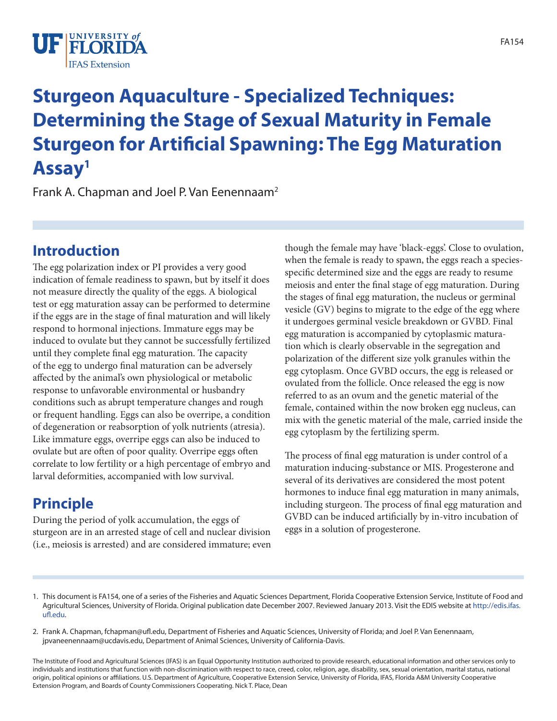

# **Sturgeon Aquaculture - Specialized Techniques: Determining the Stage of Sexual Maturity in Female Sturgeon for Artificial Spawning: The Egg Maturation Assay1**

Frank A. Chapman and Joel P. Van Eenennaam<sup>2</sup>

#### **Introduction**

The egg polarization index or PI provides a very good indication of female readiness to spawn, but by itself it does not measure directly the quality of the eggs. A biological test or egg maturation assay can be performed to determine if the eggs are in the stage of final maturation and will likely respond to hormonal injections. Immature eggs may be induced to ovulate but they cannot be successfully fertilized until they complete final egg maturation. The capacity of the egg to undergo final maturation can be adversely affected by the animal's own physiological or metabolic response to unfavorable environmental or husbandry conditions such as abrupt temperature changes and rough or frequent handling. Eggs can also be overripe, a condition of degeneration or reabsorption of yolk nutrients (atresia). Like immature eggs, overripe eggs can also be induced to ovulate but are often of poor quality. Overripe eggs often correlate to low fertility or a high percentage of embryo and larval deformities, accompanied with low survival.

## **Principle**

During the period of yolk accumulation, the eggs of sturgeon are in an arrested stage of cell and nuclear division (i.e., meiosis is arrested) and are considered immature; even though the female may have 'black-eggs'. Close to ovulation, when the female is ready to spawn, the eggs reach a speciesspecific determined size and the eggs are ready to resume meiosis and enter the final stage of egg maturation. During the stages of final egg maturation, the nucleus or germinal vesicle (GV) begins to migrate to the edge of the egg where it undergoes germinal vesicle breakdown or GVBD. Final egg maturation is accompanied by cytoplasmic maturation which is clearly observable in the segregation and polarization of the different size yolk granules within the egg cytoplasm. Once GVBD occurs, the egg is released or ovulated from the follicle. Once released the egg is now referred to as an ovum and the genetic material of the female, contained within the now broken egg nucleus, can mix with the genetic material of the male, carried inside the egg cytoplasm by the fertilizing sperm.

The process of final egg maturation is under control of a maturation inducing-substance or MIS. Progesterone and several of its derivatives are considered the most potent hormones to induce final egg maturation in many animals, including sturgeon. The process of final egg maturation and GVBD can be induced artificially by in-vitro incubation of eggs in a solution of progesterone.

- 1. This document is FA154, one of a series of the Fisheries and Aquatic Sciences Department, Florida Cooperative Extension Service, Institute of Food and Agricultural Sciences, University of Florida. Original publication date December 2007. Reviewed January 2013. Visit the EDIS website at [http://edis.ifas.](http://edis.ifas.ufl.edu) [ufl.edu](http://edis.ifas.ufl.edu).
- 2. Frank A. Chapman, fchapman@ufl.edu, Department of Fisheries and Aquatic Sciences, University of Florida; and Joel P. Van Eenennaam, jpvaneenennaam@ucdavis.edu, Department of Animal Sciences, University of California-Davis.

The Institute of Food and Agricultural Sciences (IFAS) is an Equal Opportunity Institution authorized to provide research, educational information and other services only to individuals and institutions that function with non-discrimination with respect to race, creed, color, religion, age, disability, sex, sexual orientation, marital status, national origin, political opinions or affiliations. U.S. Department of Agriculture, Cooperative Extension Service, University of Florida, IFAS, Florida A&M University Cooperative Extension Program, and Boards of County Commissioners Cooperating. Nick T. Place, Dean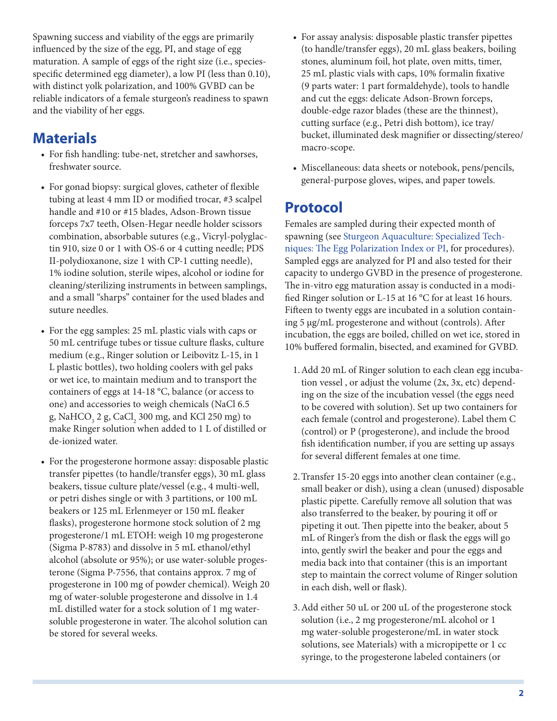Spawning success and viability of the eggs are primarily influenced by the size of the egg, PI, and stage of egg maturation. A sample of eggs of the right size (i.e., speciesspecific determined egg diameter), a low PI (less than 0.10), with distinct yolk polarization, and 100% GVBD can be reliable indicators of a female sturgeon's readiness to spawn and the viability of her eggs.

## **Materials**

- For fish handling: tube-net, stretcher and sawhorses, freshwater source.
- For gonad biopsy: surgical gloves, catheter of flexible tubing at least 4 mm ID or modified trocar, #3 scalpel handle and #10 or #15 blades, Adson-Brown tissue forceps 7x7 teeth, Olsen-Hegar needle holder scissors combination, absorbable sutures (e.g., Vicryl-polyglactin 910, size 0 or 1 with OS-6 or 4 cutting needle; PDS II-polydioxanone, size 1 with CP-1 cutting needle), 1% iodine solution, sterile wipes, alcohol or iodine for cleaning/sterilizing instruments in between samplings, and a small "sharps" container for the used blades and suture needles.
- For the egg samples: 25 mL plastic vials with caps or 50 mL centrifuge tubes or tissue culture flasks, culture medium (e.g., Ringer solution or Leibovitz L-15, in 1 L plastic bottles), two holding coolers with gel paks or wet ice, to maintain medium and to transport the containers of eggs at 14-18 °C, balance (or access to one) and accessories to weigh chemicals (NaCl 6.5 g, NaHCO<sub>3</sub> 2 g, CaCl<sub>2</sub> 300 mg, and KCl 250 mg) to make Ringer solution when added to 1 L of distilled or de-ionized water.
- For the progesterone hormone assay: disposable plastic transfer pipettes (to handle/transfer eggs), 30 mL glass beakers, tissue culture plate/vessel (e.g., 4 multi-well, or petri dishes single or with 3 partitions, or 100 mL beakers or 125 mL Erlenmeyer or 150 mL fleaker flasks), progesterone hormone stock solution of 2 mg progesterone/1 mL ETOH: weigh 10 mg progesterone (Sigma P-8783) and dissolve in 5 mL ethanol/ethyl alcohol (absolute or 95%); or use water-soluble progesterone (Sigma P-7556, that contains approx. 7 mg of progesterone in 100 mg of powder chemical). Weigh 20 mg of water-soluble progesterone and dissolve in 1.4 mL distilled water for a stock solution of 1 mg watersoluble progesterone in water. The alcohol solution can be stored for several weeks.
- For assay analysis: disposable plastic transfer pipettes (to handle/transfer eggs), 20 mL glass beakers, boiling stones, aluminum foil, hot plate, oven mitts, timer, 25 mL plastic vials with caps, 10% formalin fixative (9 parts water: 1 part formaldehyde), tools to handle and cut the eggs: delicate Adson-Brown forceps, double-edge razor blades (these are the thinnest), cutting surface (e.g., Petri dish bottom), ice tray/ bucket, illuminated desk magnifier or dissecting/stereo/ macro-scope.
- • Miscellaneous: data sheets or notebook, pens/pencils, general-purpose gloves, wipes, and paper towels.

## **Protocol**

Females are sampled during their expected month of spawning (see [Sturgeon Aquaculture: Specialized Tech](FA153)[niques: The Egg Polarization Index or PI](FA153), for procedures). Sampled eggs are analyzed for PI and also tested for their capacity to undergo GVBD in the presence of progesterone. The in-vitro egg maturation assay is conducted in a modified Ringer solution or L-15 at 16 °C for at least 16 hours. Fifteen to twenty eggs are incubated in a solution containing 5 µg/mL progesterone and without (controls). After incubation, the eggs are boiled, chilled on wet ice, stored in 10% buffered formalin, bisected, and examined for GVBD.

- 1.Add 20 mL of Ringer solution to each clean egg incubation vessel , or adjust the volume (2x, 3x, etc) depending on the size of the incubation vessel (the eggs need to be covered with solution). Set up two containers for each female (control and progesterone). Label them C (control) or P (progesterone), and include the brood fish identification number, if you are setting up assays for several different females at one time.
- 2.Transfer 15-20 eggs into another clean container (e.g., small beaker or dish), using a clean (unused) disposable plastic pipette. Carefully remove all solution that was also transferred to the beaker, by pouring it off or pipeting it out. Then pipette into the beaker, about 5 mL of Ringer's from the dish or flask the eggs will go into, gently swirl the beaker and pour the eggs and media back into that container (this is an important step to maintain the correct volume of Ringer solution in each dish, well or flask).
- 3.Add either 50 uL or 200 uL of the progesterone stock solution (i.e., 2 mg progesterone/mL alcohol or 1 mg water-soluble progesterone/mL in water stock solutions, see Materials) with a micropipette or 1 cc syringe, to the progesterone labeled containers (or